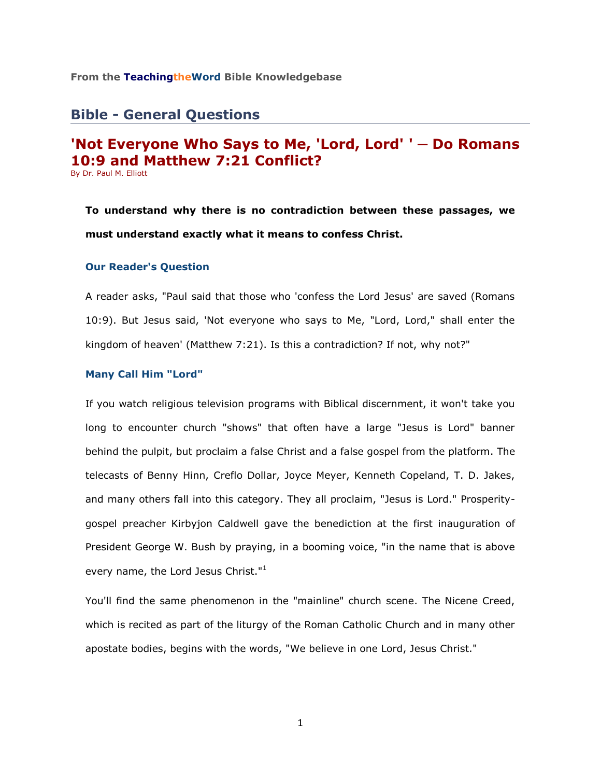## **From the TeachingtheWord Bible Knowledgebase**\_\_\_\_\_\_\_\_\_\_\_\_\_\_\_\_\_\_\_\_\_\_\_\_

# **Bible - General Questions**

## **'Not Everyone Who Says to Me, 'Lord, Lord' ' ─ Do Romans 10:9 and Matthew 7:21 Conflict?** By Dr. Paul M. Elliott

**To understand why there is no contradiction between these passages, we must understand exactly what it means to confess Christ.**

#### **Our Reader's Question**

A reader asks, "Paul said that those who 'confess the Lord Jesus' are saved (Romans 10:9). But Jesus said, 'Not everyone who says to Me, "Lord, Lord," shall enter the kingdom of heaven' (Matthew 7:21). Is this a contradiction? If not, why not?"

## **Many Call Him "Lord"**

If you watch religious television programs with Biblical discernment, it won't take you long to encounter church "shows" that often have a large "Jesus is Lord" banner behind the pulpit, but proclaim a false Christ and a false gospel from the platform. The telecasts of Benny Hinn, Creflo Dollar, Joyce Meyer, Kenneth Copeland, T. D. Jakes, and many others fall into this category. They all proclaim, "Jesus is Lord." Prosperitygospel preacher Kirbyjon Caldwell gave the benediction at the first inauguration of President George W. Bush by praying, in a booming voice, "in the name that is above every name, the Lord Jesus Christ."<sup>1</sup>

You'll find the same phenomenon in the "mainline" church scene. The Nicene Creed, which is recited as part of the liturgy of the Roman Catholic Church and in many other apostate bodies, begins with the words, "We believe in one Lord, Jesus Christ."

1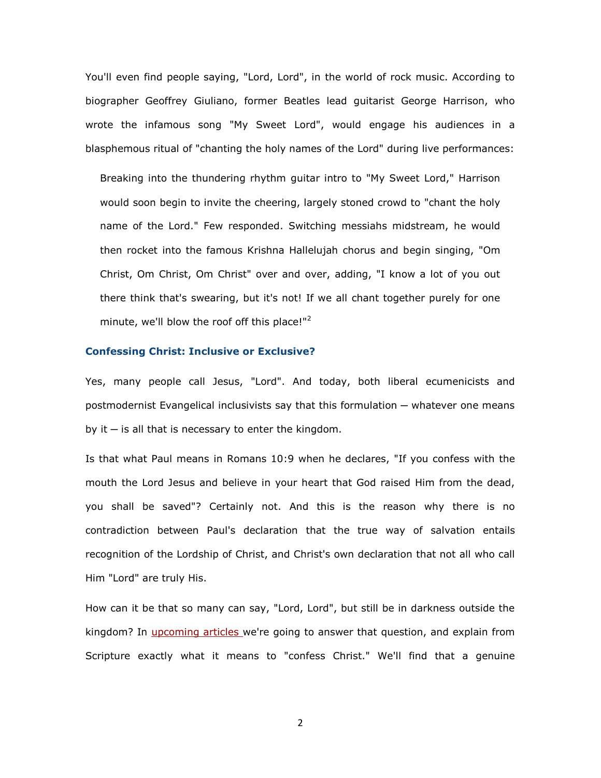You'll even find people saying, "Lord, Lord", in the world of rock music. According to biographer Geoffrey Giuliano, former Beatles lead guitarist George Harrison, who wrote the infamous song "My Sweet Lord", would engage his audiences in a blasphemous ritual of "chanting the holy names of the Lord" during live performances:

Breaking into the thundering rhythm guitar intro to "My Sweet Lord," Harrison would soon begin to invite the cheering, largely stoned crowd to "chant the holy name of the Lord." Few responded. Switching messiahs midstream, he would then rocket into the famous Krishna Hallelujah chorus and begin singing, "Om Christ, Om Christ, Om Christ" over and over, adding, "I know a lot of you out there think that's swearing, but it's not! If we all chant together purely for one minute, we'll blow the roof off this place!"<sup>2</sup>

#### **Confessing Christ: Inclusive or Exclusive?**

Yes, many people call Jesus, "Lord". And today, both liberal ecumenicists and postmodernist Evangelical inclusivists say that this formulation — whatever one means by it  $-$  is all that is necessary to enter the kingdom.

Is that what Paul means in Romans 10:9 when he declares, "If you confess with the mouth the Lord Jesus and believe in your heart that God raised Him from the dead, you shall be saved"? Certainly not. And this is the reason why there is no contradiction between Paul's declaration that the true way of salvation entails recognition of the Lordship of Christ, and Christ's own declaration that not all who call Him "Lord" are truly His.

How can it be that so many can say, "Lord, Lord", but still be in darkness outside the kingdom? In *upcoming articles* we're going to answer that question, and explain from Scripture exactly what it means to "confess Christ." We'll find that a genuine

2